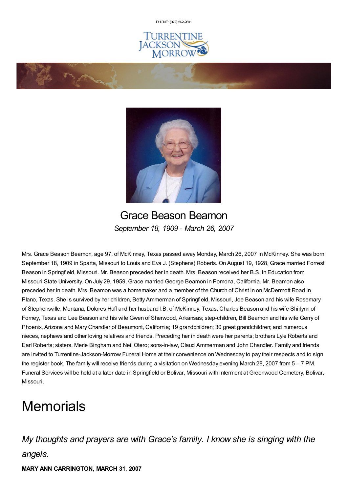PHONE: (972) [562-2601](tel:(972) 562-2601)







Grace Beason Beamon *September 18, 1909 - March 26, 2007*

Mrs. Grace Beason Beamon, age 97, of McKinney, Texas passed away Monday, March 26, 2007 in McKinney. She was born September 18, 1909 in Sparta, Missouri to Louis and Eva J. (Stephens) Roberts. On August 19, 1928, Grace married Forrest Beason in Springfield, Missouri. Mr. Beason preceded her in death. Mrs. Beason received her B.S. in Education from Missouri State University. On July 29, 1959, Grace married George Beamon in Pomona, California. Mr. Beamon also preceded her in death. Mrs. Beamon was a homemaker and a member of the Church of Christ in on McDermott Road in Plano, Texas. She is survived by her children, Betty Ammerman of Springfield, Missouri, Joe Beason and his wife Rosemary of Stephensville, Montana, Dolores Huff and her husband I.B. of McKinney, Texas, Charles Beason and his wife Shirlynn of Forney, Texas and Lee Beason and his wife Gwen of Sherwood, Arkansas; step-children, Bill Beamon and his wife Gerry of Phoenix, Arizona and Mary Chandler of Beaumont, California; 19 grandchildren; 30 great grandchildren; and numerous nieces, nephews and other loving relatives and friends. Preceding her in death were her parents; brothers Lyle Roberts and Earl Roberts; sisters, Merle Bingham and Neil Otero; sons-in-law, Claud Ammerman and John Chandler. Family and friends are invited to Turrentine-Jackson-Morrow Funeral Home at their convenience on Wednesday to pay their respects and to sign the register book. The family will receive friends during a visitation on Wednesday evening March 28, 2007 from 5 – 7 PM. Funeral Services will be held at a later date in Springfield or Bolivar, Missouri with interment at Greenwood Cemetery, Bolivar, Missouri.

# **Memorials**

## *My thoughts and prayers are with Grace's family. I know she is singing with the angels.*

**MARY ANN CARRINGTON, MARCH 31, 2007**